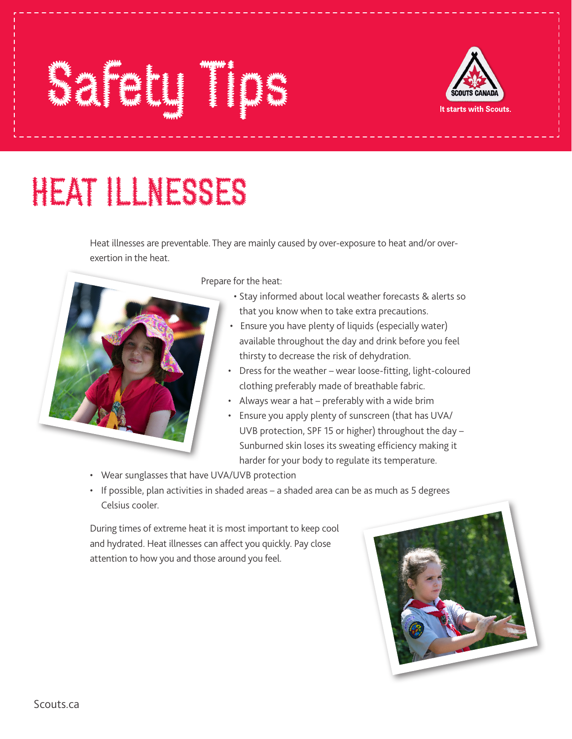## HEAT ILLNESSES

Safety Tips

Heat illnesses are preventable. They are mainly caused by over-exposure to heat and/or overexertion in the heat.



Prepare for the heat:

- Stay informed about local weather forecasts & alerts so that you know when to take extra precautions.
- Ensure you have plenty of liquids (especially water) available throughout the day and drink before you feel thirsty to decrease the risk of dehydration.
- Dress for the weather wear loose-fitting, light-coloured clothing preferably made of breathable fabric.
- Always wear a hat preferably with a wide brim
- Ensure you apply plenty of sunscreen (that has UVA/ UVB protection, SPF 15 or higher) throughout the day – Sunburned skin loses its sweating efficiency making it harder for your body to regulate its temperature.
- Wear sunglasses that have UVA/UVB protection
- If possible, plan activities in shaded areas a shaded area can be as much as 5 degrees Celsius cooler.

During times of extreme heat it is most important to keep cool and hydrated. Heat illnesses can affect you quickly. Pay close attention to how you and those around you feel.



It starts with Scouts,